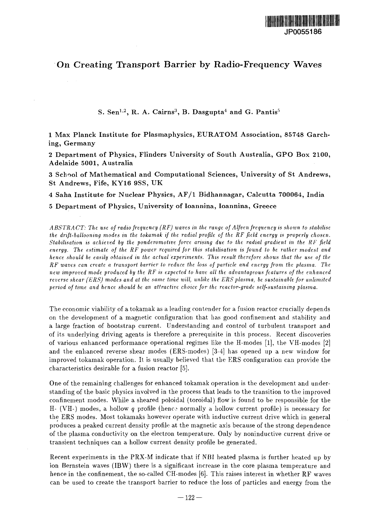

## On Creating Transport Barrier by Radio-Frequency Waves

**S. Sen<sup>1</sup> - 2 , R. A. Cairns<sup>3</sup> , B. Dasgupta<sup>4</sup> and G. Pantis<sup>5</sup>**

**1 Max Planck Institute for Plasmaphysics, EURATOM Association, 85748 Garching,** Germany

**2 Department of Physics, Flinders University of South Australia, GPO Box 2100, Adelaide 5001, Australia**

**3 School of Mathematical and Computational Sciences, University of St Andrews, St Andrews, Fife, KY16 9SS, UK**

**4 Saha Institute for Nuclear Physics, AF/l Bidhannagar, Calcutta 700064, India**

**5 Department of Physics, University of Ioannina, Ioannina, Greece**

*ABSTRACT: The use of radio frequency (RF) waves in the range of Alfven frequency is shown to stabilise the drift-ballooning modes in the iokamak if the radial profile of the RF field energy is properly chosen. Stabilisation is achieved by the ponderomotive force arising due to the radial gradient in the RF field energy. The estimate of the RF power required for this stabilisation is found to be rather modest and hence should be easily obtained in the actual experiments. This result therefore shows that the use of the RF waves can create a transport barrier to reduce the loss of particle and energy from the plasma. The new improved mode produced by the RF is expected to have all the advantageous features of the enhanced reverse shear (ERS) modes and at the same time will, unlike the ERS plasma, be sustainable for unlimited period of time and hence should be an attractive choice for the reactor-grade self-sustaining plasma.*

The economic viability of a tokamak as a leading contender for a fusion reactor crucially depends on the development of a magnetic configuration that has good confinement and stability and a large fraction of bootstrap current. Understanding and control of turbulent transport and of its underlying driving agents is therefore a prerequisite in this process. Recent discoveries of various enhanced performance operational regimes like the H-modes [1], the VH-modes [2] and the enhanced reverse shear modes (ERS-modes) [3-4] has opened up a new window for improved tokamak operation. It is usually believed that the ERS configuration can provide the characteristics desirable for a fusion reactor [5].

One of the remaining challenges for enhanced tokamak operation is the development and understanding of the basic physics involved in the process that leads to the transition to the improved confinement modes. While a sheared poloidal (toroidal) flow is found to be responsible for the H- (VH-) modes, a hollow *q* profile (henc? normally a hollow current profile) is necessary for the ERS modes. Most tokamaks however operate with inductive current drive which in general produces a peaked current density profile at the magnetic axis because of the strong dependence of the plasma conductivity on the electron temperature. Only by noninductive current drive or transient techniques can a hollow current density profile be generated.

Recent experiments in the PRX-M indicate that if NBI heated plasma is further heated up by ion Bernstein waves (IBW) there is a significant increase in the core plasma temperature and hence in the confinement, the so-called CH-modes [6]. This raises interest in whether RF waves can be used to create the transport barrier to reduce the loss of particles and energy from the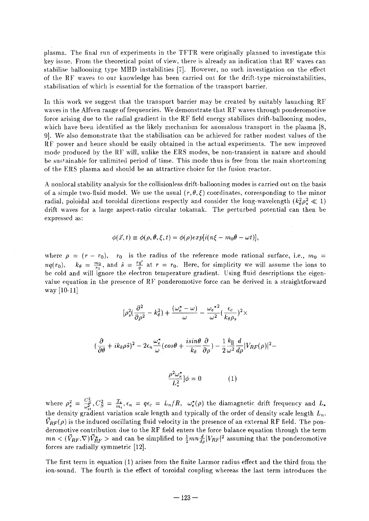plasma. The final run of experiments in the TFTR were originally planned to investigate this key issue. From the theoretical point of view, there is already an indication that RF waves can stabilise ballooning type MHD instabilities [7]. However, no such investigation on the effect of the RF waves to our knowledge has been carried out for the drift-type microinstabilities, stabilisation of which is essential for the formation of the transport barrier.

In this work we suggest that the transport barrier may be created by suitably launching RF waves in the Alfven range of frequencies. We demonstrate that RF waves through ponderomotive force arising due to the radial gradient in the RF field energy stabilises drift-ballooning modes, which have been identified as the likely mechanism for anomalous transport in the plasma [8, 9]. We also demonstrate that the stabilisation can be achieved for rather modest values of the RF power and hence should be easily obtained in the actual experiments. The new improved mode produced by the RF will, unlike the ERS modes, be non-transient in nature and should be sustainable for unlimited period of time. This mode thus is free from the main shortcoming of the ERS plasma and should be an attractive choice for the fusion reactor.

A nonlocal stability analysis for the collisionless drift-ballooning modes is carried out on the basis of a simple two-fluid model. We use the usual  $(r, \theta, \xi)$  coordinates, corresponding to the minor radial, poloidal and toroidal directions respectly and consider the long-wavelength  $(k_a^2 \rho_s^2 \ll 1)$ drift waves for a large aspect-ratio circular tokamak. The perturbed potential can then be expressed as:

$$
\phi(\vec{x},t) \equiv \phi(\rho,\theta,\xi,t) = \phi(\rho)exp[i(n\xi-m_0\theta-\omega t)],
$$

where  $\rho = (r - r_0)$ ,  $r_0$  is the radius of the reference mode rational surface, i.e.,  $m_0 =$  $nq(r_0)$ ,  $k_\theta = \frac{m_0}{r_0}$ , and  $\hat{s} = \frac{rq'}{q}$  at  $r = r_0$ . Here, for simplicity we will assume the ions to be cold and will ignore the electron temperature gradient. Using fluid descriptions the eigenvalue equation in the presence of RF ponderomotive force can be derived in a straightforward way [10-11]

$$
[\rho_s^2(\frac{\partial^2}{\partial \rho^2} - k_\theta^2) + \frac{(\omega_e^* - \omega)}{\omega} - \frac{{\omega_e^*}^2}{\omega^2} (\frac{\epsilon_c}{k_\theta \rho_s})^2 \times
$$

$$
(\frac{\partial}{\partial \theta} + ik_\theta \rho \hat{s})^2 - 2\epsilon_n \frac{\omega_e^*}{\omega} (\cos \theta + \frac{i \sin \theta}{k_\theta} \frac{\partial}{\partial \rho}) - \frac{1}{2} \frac{k_{\parallel}}{\omega^2} \frac{d}{d\rho} |V_{RF}(\rho)|^2 -
$$

$$
\frac{\rho^2 \omega_e^*}{L_s^2} |\phi = 0 \qquad (1)
$$

where  $\rho_s^2 = \frac{C_S^2}{\omega^2}$ ,  $C_S^2 = \frac{T_e}{m_i}$ ,  $\epsilon_n = q\epsilon_c = L_n/R$ ,  $\omega_e^*(\rho)$  the diamagnetic drift frequency and  $L_*$ the density gradient variation scale length and typically of the order of density scale length *Ln.*  $\vec{V}_{RF}(\rho)$  is the induced oscillating fluid velocity in the presence of an external RF field. The ponderomotive contribution due to the RF field enters the force balance equation through the term  $mn < (V_{RF} \nabla) V_{RF}^* >$  and can be simplified to  $\frac{1}{2} mn \frac{d}{dx} |V_{RF}|^2$  assuming that the ponderomotive forces are radially symmetric [12].

The first term in equation (1) arises from the finite Larmor radius effect and the third from the ion-sound. The fourth is the effect of toroidal coupling whereas the last term introduces the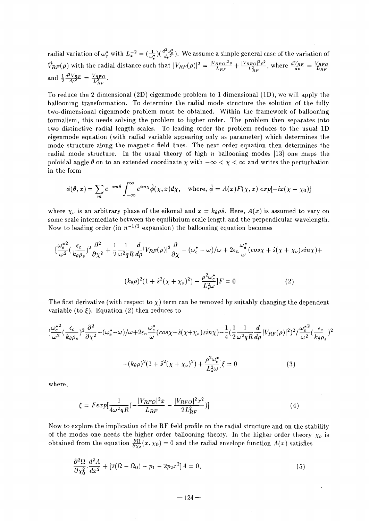radial variation of  $\omega_e^*$  with  $L_*^{-2} = (\frac{1}{\omega^*})(\frac{d^2\omega_e^*}{d\rho^2})$ . We assume a simple general case of the variation of  $\vec{V}_{RF}(\rho)$  with the radial distance such that  $|V_{RF}(\rho)|^2 = \frac{|V_{RFO}|^2 \rho}{L_{RF}} + \frac{|V_{RFO}|^2 \rho^2}{L_{RF}^2}$ , where and  $\frac{1}{2} \frac{d^2 V_{RF}}{d\rho^2} = \frac{V_{RFO}}{L_{BF}^2}$ .

To reduce the 2 dimensional (2D) eigenmode problem to 1 dimensional (ID), we will apply the ballooning transformation. To determine the radial mode structure the solution of the fully two-dimensional eigenmode problem must be obtained. Within the framework of ballooning formalism, this needs solving the problem to higher order. The problem then separates into two distinctive radial length scales. To leading order the problem reduces to the usual ID eigenmode equation (with radial variable appearing only as parameter) which determines the mode structure along the magnetic field lines. The next order equation then determines the radial mode structure. In the usual theory of high *n* ballooning modes [13] one maps the poloidal angle  $\theta$  on to an extended coordinate  $\chi$  with  $-\infty < \chi < \infty$  and writes the perturbation in the form

$$
\phi(\theta, x) = \sum_{m} e^{-im\theta} \int_{-\infty}^{\infty} e^{im\chi} \hat{\phi}(\chi, x) d\chi, \quad \text{where, } \hat{\phi} = A(x) F(\chi, x) \exp[-ix(\chi + \chi_0)]
$$

where  $\chi_o$  is an arbitrary phase of the eikonal and  $x = k_\theta \rho \hat{s}$ . Here,  $A(x)$  is assumed to vary on some scale intermediate between the equilibrium scale length and the perpendicular wavelength. Now to leading order (in  $n^{-1/2}$  expansion) the ballooning equation becomes

$$
\left[\frac{\omega_e^{*2}}{\omega^2}(\frac{\epsilon_c}{k_\theta\rho_s})^2\frac{\partial^2}{\partial\chi^2}+\frac{1}{2}\frac{1}{\omega^2qR}\frac{d}{d\rho}|V_{RF}(\rho)|^2\frac{\partial}{\partial\chi}-(\omega_e^*-\omega)/\omega+2\epsilon_n\frac{\omega_e^*}{\omega}(cos\chi+\hat{s}(\chi+\chi_o)sin\chi)+\right]
$$

$$
(k_{\theta}\rho)^{2}(1+\hat{s}^{2}(\chi+\chi_{o})^{2})+\frac{\rho^{2}\omega_{e}^{*}}{L_{*}^{2}\omega}|F=0
$$
\n(2)

The first derivative (with respect to  $\chi$ ) term can be removed by suitably changing the dependent variable (to  $\xi$ ). Equation (2) then reduces to

$$
\left[\frac{\omega_e^{*2}}{\omega^2}(\frac{\epsilon_c}{k_\theta \rho_s})^2 \frac{\partial^2}{\partial \chi^2} - (\omega_e^* - \omega)/\omega + 2\epsilon_n \frac{\omega_e^*}{\omega} (\cos \chi + \hat{s}(\chi + \chi_o) \sin \chi) - \frac{1}{4} (\frac{1}{2} \frac{1}{\omega^2 qR} \frac{d}{d\rho} |V_{RF}(\rho)|^2)^2 / \frac{\omega_e^{*2}}{\omega^2} (\frac{\epsilon_c}{k_\theta \rho_s})^2 + (k_\theta \rho)^2 (1 + \hat{s}^2 (\chi + \chi_o)^2) + \frac{\rho^2 \omega_e^*}{L^2 \omega} \xi = 0
$$
\n(3)

where,

$$
\xi = F \exp[\frac{1}{4\omega^2 qR} \left(-\frac{|V_{RFO}|^2 x}{L_{RF}} - \frac{|V_{RFO}|^2 x^2}{2L_{RF}^2}\right)] \tag{4}
$$

Now to explore the implication of the RF field profile on the radial structure and on the stability of the modes one needs the higher order ballooning theory. In the higher order theory *Xo ls* obtained from the equation  $\frac{\partial \Omega}{\partial x_0}(x,\chi_0) = 0$  and the radial envelope function  $A(x)$  satisfies

$$
\frac{\partial^2 \Omega}{\partial \chi_0^2} \cdot \frac{d^2 A}{dx^2} + [2(\Omega - \Omega_0) - p_1 - 2p_2 x^2]A = 0,\tag{5}
$$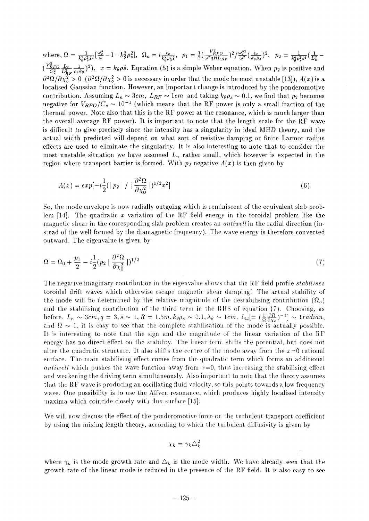where,  $\Omega = \frac{1}{k^2 a^2 \hat{s}^2} [\frac{\omega_e^*}{\omega} - 1]$  $(\frac{V_{RFO}^{E}L_{n}}{C^{2}} \frac{L_{n}}{L^{2}} \frac{1}{\rho_{e}k_{0}})^{2}), x = k_{\theta}\rho\hat{s}$ . Equation (5) is a simple Weber equation. When  $p_{2}$  is positive and  $\partial \chi_o^2 >0 \,\,$   $(\partial^2 \Omega/\partial \chi_o^2 >0$  is necessary in order that the mode be most unstable [13]),  $A(x)$  is a localised Gaussian function. However, an important change is introduced by the ponderomotive contribution. Assuming  $L_n \sim 3 cm,\ L_{RF} \sim 1 cm\;$  and taking  $k_\theta \rho_s \sim 0.1,$  we find that  $p_2$  becomes negative for  $V_{RFO}/C_s \sim 10^{-1}$  (which means that the RF power is only a small fraction of the thermal power. Note also that this is the RF power at the resonance, which is much larger than the overall average RF power). It is important to note that the length scale for the RF wave is difficult to give precisely since the intensity has a singularity in ideal MHD theory, and the actual width predicted will depend on what sort of resistive damping or finite Larmor radius effects are used to eliminate the singularity. It is also interesting to note that to consider the most unstable situation we have assumed *Ln* rather small, which however is expected in the region where transport barrier is formed. With  $p_2$  negative  $A(x)$  is then given by

$$
A(x) = exp[-i\frac{1}{2}(|p_2| / |\frac{\partial^2 \Omega}{\partial \chi_0^2}|)^{1/2}x^2]
$$
\n(6)

So, the mode envelope is now radially outgoing which is reminiscent of the equivalent slab problem [14]. The quadratic *x* variation of the RF field energy in the toroidal problem like the magnetic shear in the corresponding slab problem creates an *antiwell* in the radial direction (instead of the well formed by the diamagnetic frequency). The wave energy is therefore converted outward. The eigenvalue is given by

$$
\Omega = \Omega_0 + \frac{p_1}{2} - i \frac{1}{2} (p_2 + \frac{\partial^2 \Omega}{\partial \chi_0^2})^{1/2}
$$
\n(7)

The negative imaginary contribution in the eigenvalue shows that the RF field profile *stabilises* toroidal drift waves which otherwise escape magnetic shear damping! The actual stability of the mode will be determined by the relative magnitude of the destabilising contribution  $(\Omega_o)$ and the stabilising contribution of the third term in the RHS of equation (7). Choosing, as before,  $L_n \sim 3cm, q = 3, \hat{s} \sim 1, R = 1.5m, k_{\theta} \rho_s \sim 0.1, \lambda_{\theta} \sim 1cm, L_{\Omega} = (\frac{1}{\Omega} \frac{\partial \Omega}{\partial \gamma})^{-1}] \sim 1radian$ , and  $\Omega \sim 1$ , it is easy to see that the complete stabilisation of the mode is actually possible. It is interesting to note that the sign and the magnitude of the linear variation of the RF energy has no direct effect on the stability. The linear term shifts the potential, but does not alter the quadratic structure. It also shifts the centre of the mode away from the  $x=0$  rational surface. The main stabilising effect comes from the quadratic term which forms an additional *antiwell* which pushes the wave function away from  $x=0$ , thus increasing the stabilising effect and weakening the driving term simultaneously. Also important to note that the theory assumes that the RF wave is producing an oscillating fluid velocity, so this points towards a low frequency wave. One possibility is to use the Alfven resonance, which produces highly localised intensity maxima which coincide closely with flux surface [15].

We will now discuss the effect of the ponderomotive force on the turbulent transport coefficient by using the mixing length theory, according to which the turbulent diffusivity is given by

$$
\chi_k = \gamma_k \triangle_k^2
$$

where  $\gamma_k$  is the mode growth rate and  $\Delta_k$  is the mode width. We have already seen that the growth rate of the linear mode is reduced in the presence of the RF field. It is also easy to see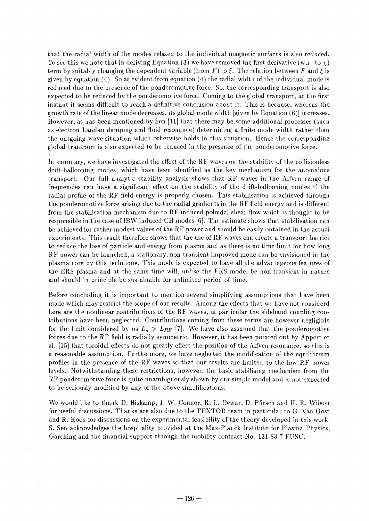that the radial width of the modes related to the individual magnetic surfaces is also reduced. To see this we note that in deriving Equation (3) we have removed the first derivative (w.r. to  $\chi$ ) term by suitably changing the dependent variable (from  $F$ ) to  $\xi$ . The relation between  $F$  and  $\xi$  is given by equation (4). So as evident from equation (4) the radial width of the individual mode is reduced due to the presence of the ponderomotive force. So, the corresponding transport is also expected to be reduced by the ponderomotive force. Coming to the global transport, at the first instant it seems difficult to reach a definitive conclusion about it. This is because, whereas the growth rate of the linear mode decreases, its global mode width [given by Equation (6)] increases. However, as has been mentioned by Sen [11] that there may be some additional processes (such as electron Landau damping and fluid resonance) determining a finite mode width rather than the outgoing wave situation which otherwise holds in this situation. Hence the corresponding global transport is also expected to be reduced in the presence of the ponderomotive force.

In summary, we have investigated the effect of the RF waves on the stability of the collisionless drift-ballooning modes, which have been identified as the key mechanism for the anomalous transport. Our full analytic stability analysis shows that RF waves in the Alfven range of frequencies can have a significant effect on the stability of the drift-ballooning modes if the radial profile of the RF field energy is properly chosen. This stabilisation is achieved through the ponderomotive force arising due to the radial gradients in the RF field energy and is different from the stabilisation mechanism due to RF-induced poloidal-shear-flow which is thought to be responsible in the case of IBW induced CH modes [6], The estimate shows that stabilisation can be achieved for rather modest values of the RF power and should be easily obtained in the actual experiments. This result therefore shows that the use of RF waves can create a transport barrier to reduce the loss of particle and energy from plasma and as there is no time limit for how long RF power can be launched, a stationary, non-transient improved mode can be envisioned in the plasma core by this technique. This mode is expected to have all the advantageous features of the ERS plasma and at the same time will, unlike the ERS mode, be non-transient in nature and should in principle be sustainable for unlimited period of time.

Before concluding it is important to mention several simplifying assumptions that have been made which may restrict the scope of our results. Among the effects that we have not considerd here are the nonlinear contributions of the RF waves, in particular the sideband coupling contributions have been neglected. Contributions coming from these terms are however negligible for the limit considered by us  $L_n > L_{RF}$  [7]. We have also assumed that the ponderomotive forces due to the RF field is radially symmetric. However, it has been pointed out by Appert et al. [15] that toroidal effects do not greatly effect the position of the Alfven resonance, so this is a reasonable assumption. Furthermore, we have neglected the modification of the equilibrium profiles in the presence of the RF waves so that our results are limited to the low RF power levels. Notwithstanding these restrictions, however, the basic stabilising mechanism from the RF ponderomotive force is quite unambiguously shown by our simple model and is not expected to be seriously modified by any of the above simplifications.

We would like to thank D. Biskamp, J. W. Connor, R. L. Dewar, D. Pfirsch and H. R. Wilson for useful discussions. Thanks are also due to the TEXTOR team in particular to G. Van Oost and R. Koch for discussions on the experimental feasibility of the theory developed in this work. S. Sen acknowledges the hospitality provided at the Max-Planck Institute for Plasma Physics, Garching and the financial support through the mobility contract No. 131-83-7 FUSC.